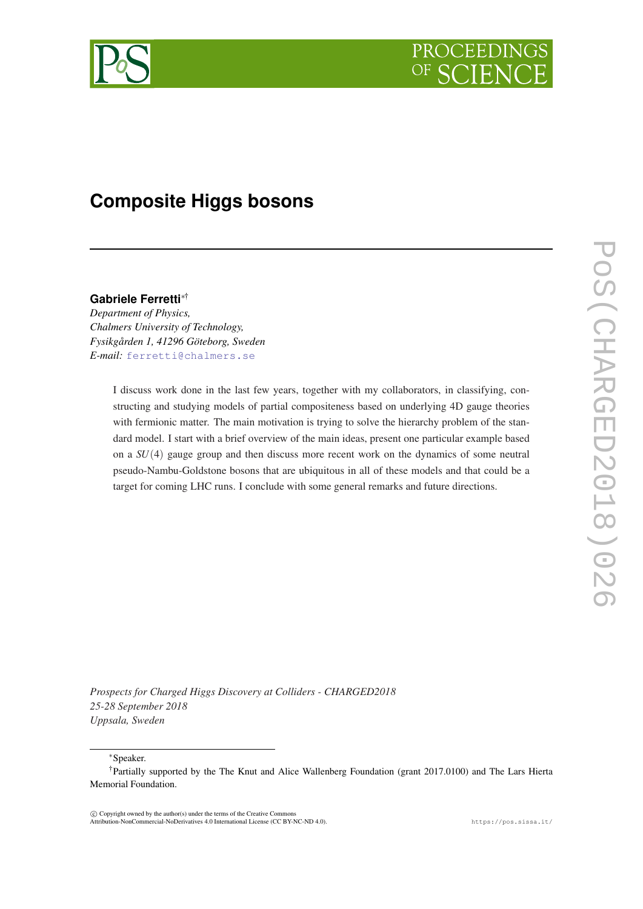

# **Composite Higgs bosons**

# **Gabriele Ferretti**∗†

*Department of Physics, Chalmers University of Technology, Fysikgården 1, 41296 Göteborg, Sweden E-mail:* [ferretti@chalmers.se](mailto:ferretti@chalmers.se)

> I discuss work done in the last few years, together with my collaborators, in classifying, constructing and studying models of partial compositeness based on underlying 4D gauge theories with fermionic matter. The main motivation is trying to solve the hierarchy problem of the standard model. I start with a brief overview of the main ideas, present one particular example based on a *SU*(4) gauge group and then discuss more recent work on the dynamics of some neutral pseudo-Nambu-Goldstone bosons that are ubiquitous in all of these models and that could be a target for coming LHC runs. I conclude with some general remarks and future directions.

*Prospects for Charged Higgs Discovery at Colliders - CHARGED2018 25-28 September 2018 Uppsala, Sweden*

<sup>∗</sup>Speaker.

 $\overline{c}$  Copyright owned by the author(s) under the terms of the Creative Common Attribution-NonCommercial-NoDerivatives 4.0 International License (CC BY-NC-ND 4.0). https://pos.sissa.it/

<sup>†</sup>Partially supported by the The Knut and Alice Wallenberg Foundation (grant 2017.0100) and The Lars Hierta Memorial Foundation.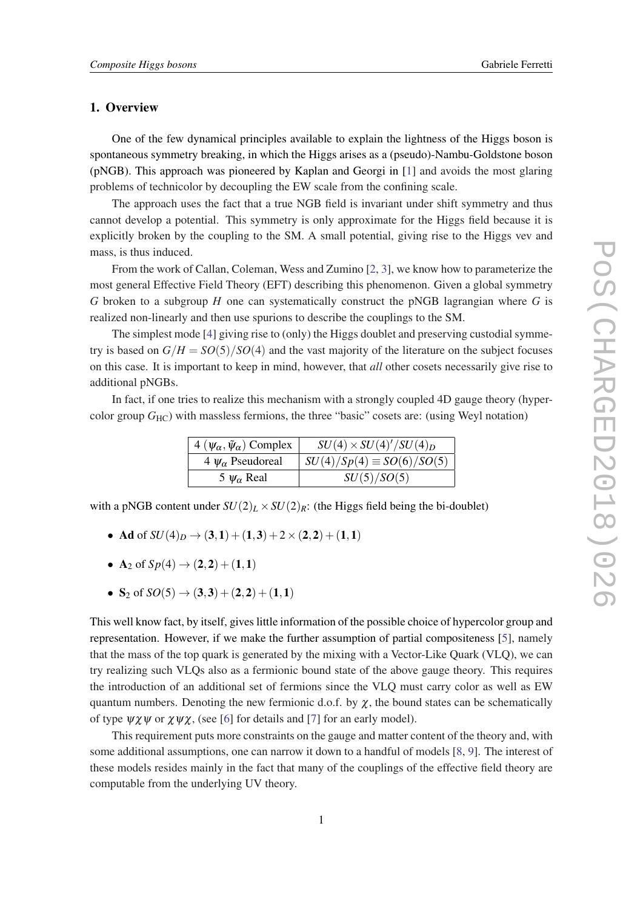## 1. Overview

One of the few dynamical principles available to explain the lightness of the Higgs boson is spontaneous symmetry breaking, in which the Higgs arises as a (pseudo)-Nambu-Goldstone boson (pNGB). This approach was pioneered by Kaplan and Georgi in [\[1\]](#page-6-0) and avoids the most glaring problems of technicolor by decoupling the EW scale from the confining scale.

The approach uses the fact that a true NGB field is invariant under shift symmetry and thus cannot develop a potential. This symmetry is only approximate for the Higgs field because it is explicitly broken by the coupling to the SM. A small potential, giving rise to the Higgs vev and mass, is thus induced.

From the work of Callan, Coleman, Wess and Zumino [[2](#page-6-0), [3\]](#page-6-0), we know how to parameterize the most general Effective Field Theory (EFT) describing this phenomenon. Given a global symmetry *G* broken to a subgroup *H* one can systematically construct the pNGB lagrangian where *G* is realized non-linearly and then use spurions to describe the couplings to the SM.

The simplest mode [[4\]](#page-6-0) giving rise to (only) the Higgs doublet and preserving custodial symmetry is based on  $G/H = SO(5)/SO(4)$  and the vast majority of the literature on the subject focuses on this case. It is important to keep in mind, however, that *all* other cosets necessarily give rise to additional pNGBs.

In fact, if one tries to realize this mechanism with a strongly coupled 4D gauge theory (hypercolor group *G*<sub>HC</sub>) with massless fermions, the three "basic" cosets are: (using Weyl notation)

| $4(\psi_{\alpha}, \tilde{\psi}_{\alpha})$ Complex | $SU(4) \times SU(4)^\prime / SU(4)_D$ |
|---------------------------------------------------|---------------------------------------|
| 4 $\psi_{\alpha}$ Pseudoreal                      | $SU(4)/Sp(4) \equiv SO(6)/SO(5)$      |
| 5 $\psi_{\alpha}$ Real                            | SU(5)/SO(5)                           |

with a pNGB content under  $SU(2)_L \times SU(2)_R$ : (the Higgs field being the bi-doublet)

- Ad of  $SU(4)_D \rightarrow (3,1) + (1,3) + 2 \times (2,2) + (1,1)$
- A<sub>2</sub> of  $Sp(4) \to (2,2) + (1,1)$
- S<sub>2</sub> of  $SO(5) \rightarrow (3,3) + (2,2) + (1,1)$

This well know fact, by itself, gives little information of the possible choice of hypercolor group and representation. However, if we make the further assumption of partial compositeness [[5](#page-6-0)], namely that the mass of the top quark is generated by the mixing with a Vector-Like Quark (VLQ), we can try realizing such VLQs also as a fermionic bound state of the above gauge theory. This requires the introduction of an additional set of fermions since the VLQ must carry color as well as EW quantum numbers. Denoting the new fermionic d.o.f. by  $\chi$ , the bound states can be schematically of type  $\psi \chi \psi$  or  $\chi \psi \chi$ , (see [\[6\]](#page-6-0) for details and [[7](#page-6-0)] for an early model).

This requirement puts more constraints on the gauge and matter content of the theory and, with some additional assumptions, one can narrow it down to a handful of models [[8](#page-6-0), [9\]](#page-6-0). The interest of these models resides mainly in the fact that many of the couplings of the effective field theory are computable from the underlying UV theory.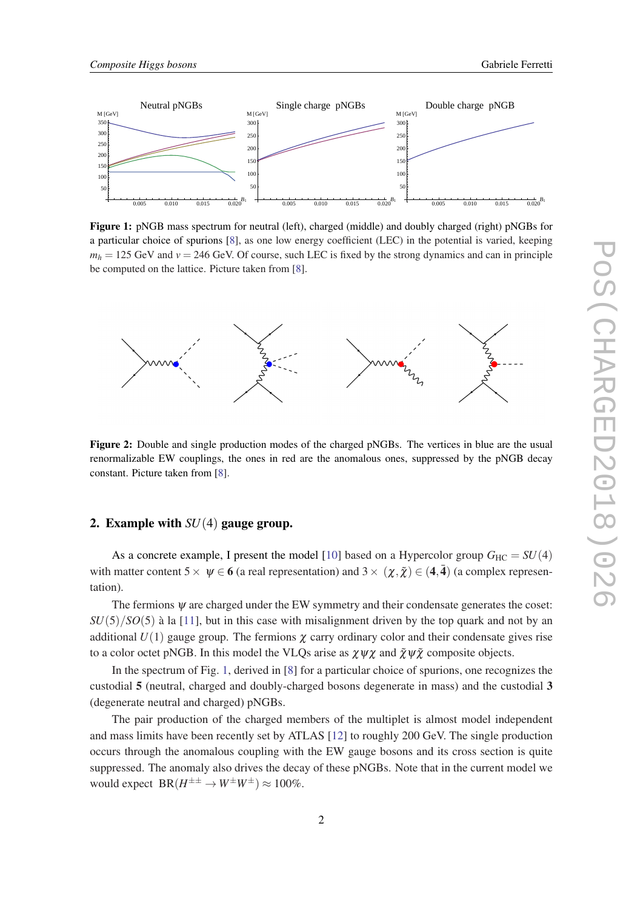<span id="page-2-0"></span>

Figure 1: pNGB mass spectrum for neutral (left), charged (middle) and doubly charged (right) pNGBs for a particular choice of spurions [[8\]](#page-6-0), as one low energy coefficient (LEC) in the potential is varied, keeping  $m_h$  = 125 GeV and  $v = 246$  GeV. Of course, such LEC is fixed by the strong dynamics and can in principle be computed on the lattice. Picture taken from [[8\]](#page-6-0).



Figure 2: Double and single production modes of the charged pNGBs. The vertices in blue are the usual renormalizable EW couplings, the ones in red are the anomalous ones, suppressed by the pNGB decay constant. Picture taken from [[8\]](#page-6-0).

## 2. Example with *SU*(4) gauge group.

As a concrete example, I present the model [[10\]](#page-6-0) based on a Hypercolor group  $G_{HC} = SU(4)$ with matter content  $5\times \psi \in 6$  (a real representation) and  $3\times (\chi,\tilde{\chi}) \in (4,\bar{4})$  (a complex representation).

The fermions  $\psi$  are charged under the EW symmetry and their condensate generates the coset: *SU*(5)/*SO*(5) à la [[11\]](#page-6-0), but in this case with misalignment driven by the top quark and not by an additional  $U(1)$  gauge group. The fermions  $\chi$  carry ordinary color and their condensate gives rise to a color octet pNGB. In this model the VLQs arise as  $\chi \psi \chi$  and  $\tilde{\chi} \psi \tilde{\chi}$  composite objects.

In the spectrum of Fig. 1, derived in [\[8\]](#page-6-0) for a particular choice of spurions, one recognizes the custodial 5 (neutral, charged and doubly-charged bosons degenerate in mass) and the custodial 3 (degenerate neutral and charged) pNGBs.

The pair production of the charged members of the multiplet is almost model independent and mass limits have been recently set by ATLAS [\[12](#page-6-0)] to roughly 200 GeV. The single production occurs through the anomalous coupling with the EW gauge bosons and its cross section is quite suppressed. The anomaly also drives the decay of these pNGBs. Note that in the current model we would expect  $BR(H^{\pm \pm} \to W^{\pm} W^{\pm}) \approx 100\%$ .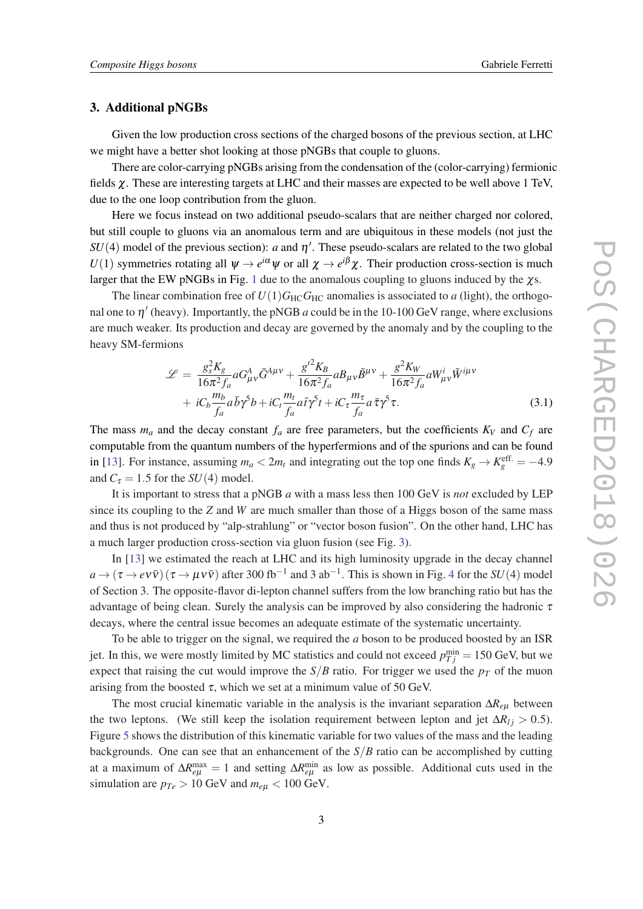# 3. Additional pNGBs

Given the low production cross sections of the charged bosons of the previous section, at LHC we might have a better shot looking at those pNGBs that couple to gluons.

There are color-carrying pNGBs arising from the condensation of the (color-carrying) fermionic fields  $\chi$ . These are interesting targets at LHC and their masses are expected to be well above 1 TeV, due to the one loop contribution from the gluon.

Here we focus instead on two additional pseudo-scalars that are neither charged nor colored, but still couple to gluons via an anomalous term and are ubiquitous in these models (not just the  $SU(4)$  model of the previous section): *a* and  $\eta'$ . These pseudo-scalars are related to the two global *U*(1) symmetries rotating all  $\psi \to e^{i\alpha}\psi$  or all  $\chi \to e^{i\beta}\chi$ . Their production cross-section is much larger that the EW pNGBs in Fig. [1](#page-2-0) due to the anomalous coupling to gluons induced by the  $\chi$ s.

The linear combination free of  $U(1)G_{HC}G_{HC}$  anomalies is associated to *a* (light), the orthogonal one to  $\eta'$  (heavy). Importantly, the pNGB *a* could be in the 10-100 GeV range, where exclusions are much weaker. Its production and decay are governed by the anomaly and by the coupling to the heavy SM-fermions

$$
\mathcal{L} = \frac{g_s^2 K_g}{16\pi^2 f_a} aG^A_{\mu\nu}\tilde{G}^{A\mu\nu} + \frac{{g'}^2 K_B}{16\pi^2 f_a} aB_{\mu\nu}\tilde{B}^{\mu\nu} + \frac{g^2 K_W}{16\pi^2 f_a} aW^i_{\mu\nu}\tilde{W}^{i\mu\nu}
$$

$$
+ iC_b \frac{m_b}{f_a} a\bar{b}\gamma^5 b + iC_t \frac{m_t}{f_a} a\bar{t}\gamma^5 t + iC_\tau \frac{m_\tau}{f_a} a\bar{\tau}\gamma^5 \tau. \tag{3.1}
$$

The mass  $m_a$  and the decay constant  $f_a$  are free parameters, but the coefficients  $K_V$  and  $C_f$  are computable from the quantum numbers of the hyperfermions and of the spurions and can be found in [\[13](#page-7-0)]. For instance, assuming  $m_a < 2m_t$  and integrating out the top one finds  $K_g \to K_g^{\text{eff.}} = -4.9$ and  $C_{\tau} = 1.5$  for the *SU*(4) model.

It is important to stress that a pNGB *a* with a mass less then 100 GeV is *not* excluded by LEP since its coupling to the *Z* and *W* are much smaller than those of a Higgs boson of the same mass and thus is not produced by "alp-strahlung" or "vector boson fusion". On the other hand, LHC has a much larger production cross-section via gluon fusion (see Fig. [3\)](#page-4-0).

In [[13\]](#page-7-0) we estimated the reach at LHC and its high luminosity upgrade in the decay channel  $a \to (\tau \to e \nu \bar{\nu}) (\tau \to \mu \nu \bar{\nu})$  after 300 fb<sup>-1</sup> and 3 ab<sup>-1</sup>. This is shown in Fig. [4](#page-4-0) for the *SU*(4) model of Section 3. The opposite-flavor di-lepton channel suffers from the low branching ratio but has the advantage of being clean. Surely the analysis can be improved by also considering the hadronic  $\tau$ decays, where the central issue becomes an adequate estimate of the systematic uncertainty.

To be able to trigger on the signal, we required the *a* boson to be produced boosted by an ISR jet. In this, we were mostly limited by MC statistics and could not exceed  $p_{Tj}^{\min} = 150$  GeV, but we expect that raising the cut would improve the  $S/B$  ratio. For trigger we used the  $p<sub>T</sub>$  of the muon arising from the boosted  $\tau$ , which we set at a minimum value of 50 GeV.

The most crucial kinematic variable in the analysis is the invariant separation ∆*Re*<sup>µ</sup> between the two leptons. (We still keep the isolation requirement between lepton and jet  $\Delta R_{lj} > 0.5$ ). Figure [5](#page-5-0) shows the distribution of this kinematic variable for two values of the mass and the leading backgrounds. One can see that an enhancement of the *S*/*B* ratio can be accomplished by cutting at a maximum of  $\Delta R_{e\mu}^{\text{max}} = 1$  and setting  $\Delta R_{e\mu}^{\text{min}}$  as low as possible. Additional cuts used in the simulation are  $p_{Te} > 10$  GeV and  $m_{e\mu} < 100$  GeV.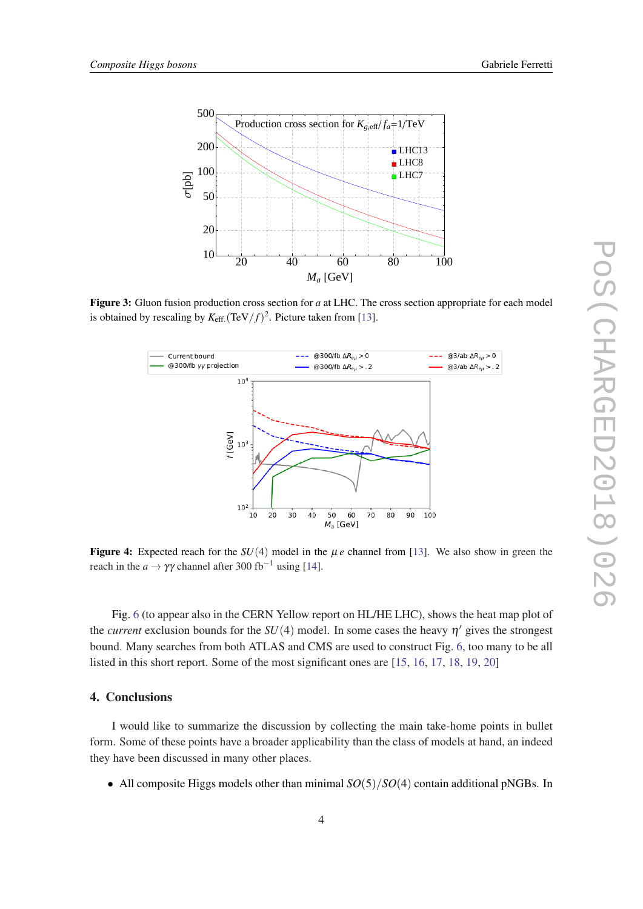<span id="page-4-0"></span>

Figure 3: Gluon fusion production cross section for *a* at LHC. The cross section appropriate for each model is obtained by rescaling by  $K_{\text{eff.}}(\text{TeV}/f)^2$ . Picture taken from [[13\]](#page-7-0).



**Figure 4:** Expected reach for the  $SU(4)$  model in the  $\mu e$  channel from [\[13](#page-7-0)]. We also show in green the reach in the *a*  $\rightarrow \gamma \gamma$  channel after 300 fb<sup>-1</sup> using [[14\]](#page-7-0).

Fig. [6](#page-5-0) (to appear also in the CERN Yellow report on HL/HE LHC), shows the heat map plot of the *current* exclusion bounds for the  $SU(4)$  model. In some cases the heavy  $\eta'$  gives the strongest bound. Many searches from both ATLAS and CMS are used to construct Fig. [6](#page-5-0), too many to be all listed in this short report. Some of the most significant ones are [\[15](#page-7-0), [16](#page-7-0), [17,](#page-7-0) [18](#page-7-0), [19](#page-7-0), [20\]](#page-7-0)

# 4. Conclusions

I would like to summarize the discussion by collecting the main take-home points in bullet form. Some of these points have a broader applicability than the class of models at hand, an indeed they have been discussed in many other places.

• All composite Higgs models other than minimal  $SO(5)/SO(4)$  contain additional pNGBs. In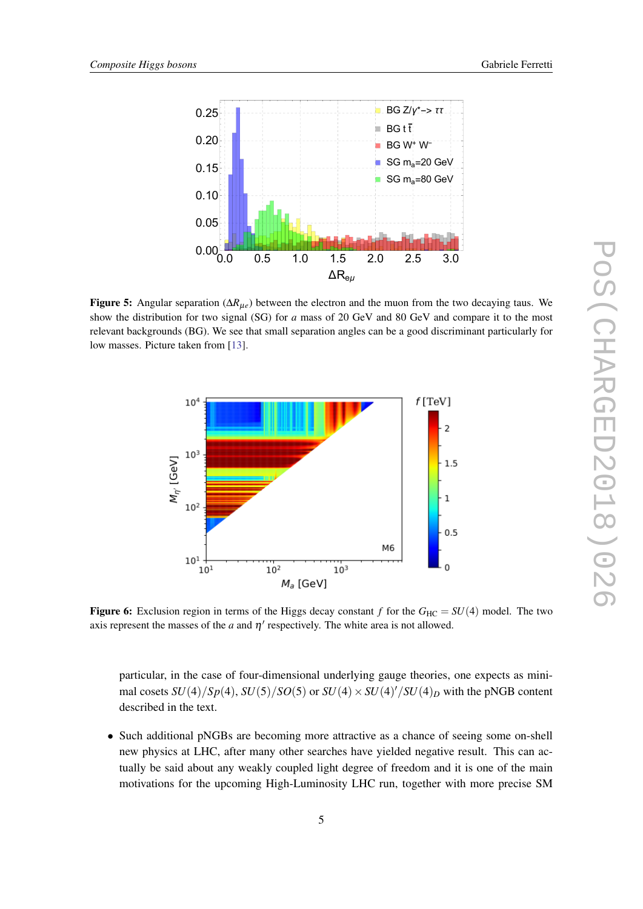<span id="page-5-0"></span>

Figure 5: Angular separation (∆*R*µ*e*) between the electron and the muon from the two decaying taus. We show the distribution for two signal (SG) for *a* mass of 20 GeV and 80 GeV and compare it to the most relevant backgrounds (BG). We see that small separation angles can be a good discriminant particularly for low masses. Picture taken from [\[13](#page-7-0)].



**Figure 6:** Exclusion region in terms of the Higgs decay constant *f* for the  $G_{HC} = SU(4)$  model. The two axis represent the masses of the  $a$  and  $\eta'$  respectively. The white area is not allowed.

particular, in the case of four-dimensional underlying gauge theories, one expects as minimal cosets  $SU(4)/Sp(4)$ ,  $SU(5)/SO(5)$  or  $SU(4) \times SU(4)'/SU(4)_D$  with the pNGB content described in the text.

• Such additional pNGBs are becoming more attractive as a chance of seeing some on-shell new physics at LHC, after many other searches have yielded negative result. This can actually be said about any weakly coupled light degree of freedom and it is one of the main motivations for the upcoming High-Luminosity LHC run, together with more precise SM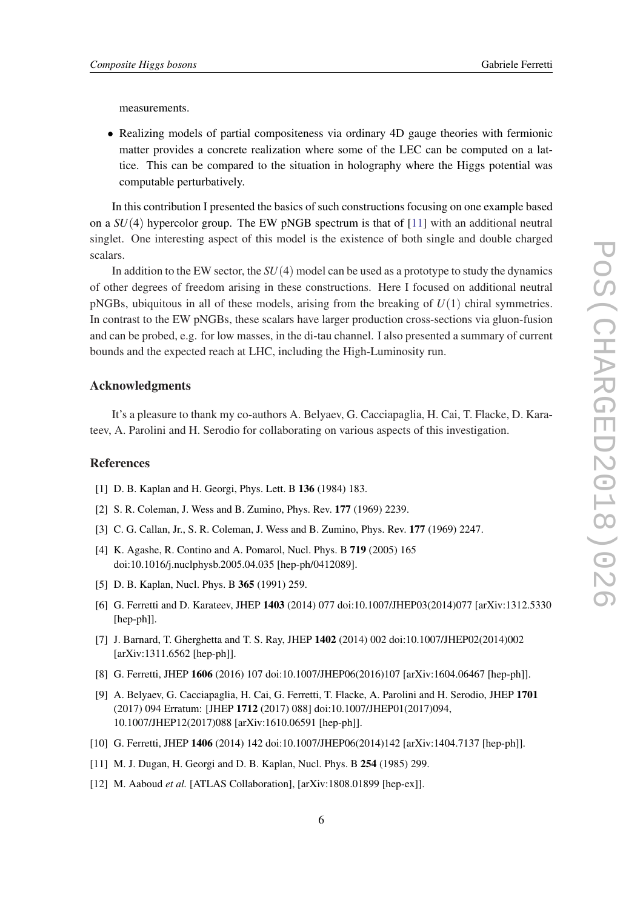<span id="page-6-0"></span>measurements.

• Realizing models of partial compositeness via ordinary 4D gauge theories with fermionic matter provides a concrete realization where some of the LEC can be computed on a lattice. This can be compared to the situation in holography where the Higgs potential was computable perturbatively.

In this contribution I presented the basics of such constructions focusing on one example based on a  $SU(4)$  hypercolor group. The EW pNGB spectrum is that of  $[11]$  with an additional neutral singlet. One interesting aspect of this model is the existence of both single and double charged scalars.

In addition to the EW sector, the *SU*(4) model can be used as a prototype to study the dynamics of other degrees of freedom arising in these constructions. Here I focused on additional neutral pNGBs, ubiquitous in all of these models, arising from the breaking of *U*(1) chiral symmetries. In contrast to the EW pNGBs, these scalars have larger production cross-sections via gluon-fusion and can be probed, e.g. for low masses, in the di-tau channel. I also presented a summary of current bounds and the expected reach at LHC, including the High-Luminosity run.

## Acknowledgments

It's a pleasure to thank my co-authors A. Belyaev, G. Cacciapaglia, H. Cai, T. Flacke, D. Karateev, A. Parolini and H. Serodio for collaborating on various aspects of this investigation.

## References

- [1] D. B. Kaplan and H. Georgi, Phys. Lett. B 136 (1984) 183.
- [2] S. R. Coleman, J. Wess and B. Zumino, Phys. Rev. 177 (1969) 2239.
- [3] C. G. Callan, Jr., S. R. Coleman, J. Wess and B. Zumino, Phys. Rev. 177 (1969) 2247.
- [4] K. Agashe, R. Contino and A. Pomarol, Nucl. Phys. B 719 (2005) 165 doi:10.1016/j.nuclphysb.2005.04.035 [hep-ph/0412089].
- [5] D. B. Kaplan, Nucl. Phys. B 365 (1991) 259.
- [6] G. Ferretti and D. Karateev, JHEP 1403 (2014) 077 doi:10.1007/JHEP03(2014)077 [arXiv:1312.5330 [hep-ph]].
- [7] J. Barnard, T. Gherghetta and T. S. Ray, JHEP 1402 (2014) 002 doi:10.1007/JHEP02(2014)002 [arXiv:1311.6562 [hep-ph]].
- [8] G. Ferretti, JHEP 1606 (2016) 107 doi:10.1007/JHEP06(2016)107 [arXiv:1604.06467 [hep-ph]].
- [9] A. Belyaev, G. Cacciapaglia, H. Cai, G. Ferretti, T. Flacke, A. Parolini and H. Serodio, JHEP 1701 (2017) 094 Erratum: [JHEP 1712 (2017) 088] doi:10.1007/JHEP01(2017)094, 10.1007/JHEP12(2017)088 [arXiv:1610.06591 [hep-ph]].
- [10] G. Ferretti, JHEP 1406 (2014) 142 doi:10.1007/JHEP06(2014)142 [arXiv:1404.7137 [hep-ph]].
- [11] M. J. Dugan, H. Georgi and D. B. Kaplan, Nucl. Phys. B 254 (1985) 299.
- [12] M. Aaboud *et al.* [ATLAS Collaboration], [arXiv:1808.01899 [hep-ex]].